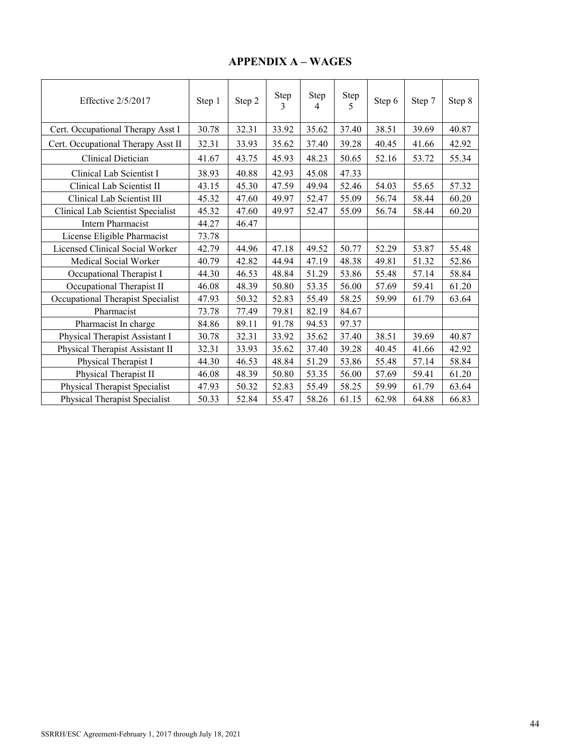## **APPENDIX A – WAGES**

| Effective $2/5/2017$               | Step 1 | Step 2 | Step<br>3 | Step<br>$\overline{4}$ | Step<br>5 | Step 6 | Step 7 | Step 8 |
|------------------------------------|--------|--------|-----------|------------------------|-----------|--------|--------|--------|
| Cert. Occupational Therapy Asst I  | 30.78  | 32.31  | 33.92     | 35.62                  | 37.40     | 38.51  | 39.69  | 40.87  |
| Cert. Occupational Therapy Asst II | 32.31  | 33.93  | 35.62     | 37.40                  | 39.28     | 40.45  | 41.66  | 42.92  |
| Clinical Dietician                 | 41.67  | 43.75  | 45.93     | 48.23                  | 50.65     | 52.16  | 53.72  | 55.34  |
| Clinical Lab Scientist I           | 38.93  | 40.88  | 42.93     | 45.08                  | 47.33     |        |        |        |
| Clinical Lab Scientist II          | 43.15  | 45.30  | 47.59     | 49.94                  | 52.46     | 54.03  | 55.65  | 57.32  |
| Clinical Lab Scientist III         | 45.32  | 47.60  | 49.97     | 52.47                  | 55.09     | 56.74  | 58.44  | 60.20  |
| Clinical Lab Scientist Specialist  | 45.32  | 47.60  | 49.97     | 52.47                  | 55.09     | 56.74  | 58.44  | 60.20  |
| Intern Pharmacist                  | 44.27  | 46.47  |           |                        |           |        |        |        |
| License Eligible Pharmacist        | 73.78  |        |           |                        |           |        |        |        |
| Licensed Clinical Social Worker    | 42.79  | 44.96  | 47.18     | 49.52                  | 50.77     | 52.29  | 53.87  | 55.48  |
| Medical Social Worker              | 40.79  | 42.82  | 44.94     | 47.19                  | 48.38     | 49.81  | 51.32  | 52.86  |
| Occupational Therapist I           | 44.30  | 46.53  | 48.84     | 51.29                  | 53.86     | 55.48  | 57.14  | 58.84  |
| Occupational Therapist II          | 46.08  | 48.39  | 50.80     | 53.35                  | 56.00     | 57.69  | 59.41  | 61.20  |
| Occupational Therapist Specialist  | 47.93  | 50.32  | 52.83     | 55.49                  | 58.25     | 59.99  | 61.79  | 63.64  |
| Pharmacist                         | 73.78  | 77.49  | 79.81     | 82.19                  | 84.67     |        |        |        |
| Pharmacist In charge               | 84.86  | 89.11  | 91.78     | 94.53                  | 97.37     |        |        |        |
| Physical Therapist Assistant I     | 30.78  | 32.31  | 33.92     | 35.62                  | 37.40     | 38.51  | 39.69  | 40.87  |
| Physical Therapist Assistant II    | 32.31  | 33.93  | 35.62     | 37.40                  | 39.28     | 40.45  | 41.66  | 42.92  |
| Physical Therapist I               | 44.30  | 46.53  | 48.84     | 51.29                  | 53.86     | 55.48  | 57.14  | 58.84  |
| Physical Therapist II              | 46.08  | 48.39  | 50.80     | 53.35                  | 56.00     | 57.69  | 59.41  | 61.20  |
| Physical Therapist Specialist      | 47.93  | 50.32  | 52.83     | 55.49                  | 58.25     | 59.99  | 61.79  | 63.64  |
| Physical Therapist Specialist      | 50.33  | 52.84  | 55.47     | 58.26                  | 61.15     | 62.98  | 64.88  | 66.83  |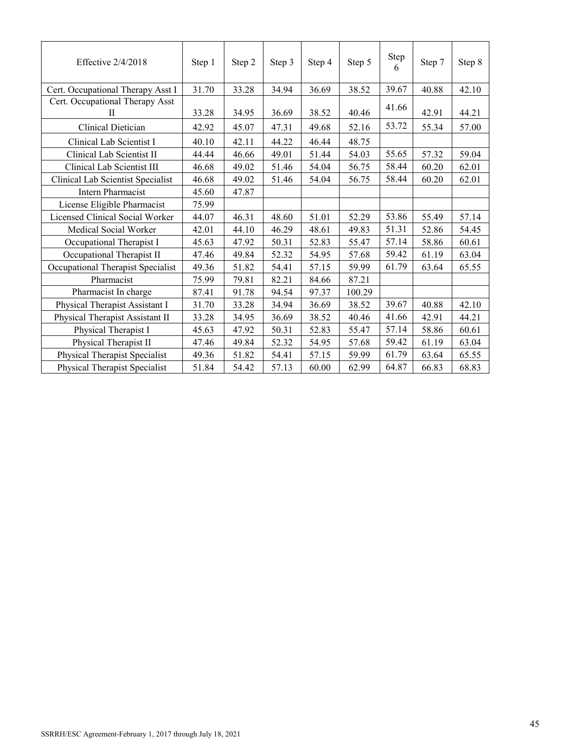| Effective 2/4/2018                   | Step 1 | Step 2 | Step 3 | Step 4 | Step 5 | Step<br>6 | Step 7 | Step 8 |
|--------------------------------------|--------|--------|--------|--------|--------|-----------|--------|--------|
| Cert. Occupational Therapy Asst I    | 31.70  | 33.28  | 34.94  | 36.69  | 38.52  | 39.67     | 40.88  | 42.10  |
| Cert. Occupational Therapy Asst<br>П | 33.28  | 34.95  | 36.69  | 38.52  | 40.46  | 41.66     | 42.91  | 44.21  |
| Clinical Dietician                   | 42.92  | 45.07  | 47.31  | 49.68  | 52.16  | 53.72     | 55.34  | 57.00  |
| Clinical Lab Scientist I             | 40.10  | 42.11  | 44.22  | 46.44  | 48.75  |           |        |        |
| Clinical Lab Scientist II            | 44.44  | 46.66  | 49.01  | 51.44  | 54.03  | 55.65     | 57.32  | 59.04  |
| Clinical Lab Scientist III           | 46.68  | 49.02  | 51.46  | 54.04  | 56.75  | 58.44     | 60.20  | 62.01  |
| Clinical Lab Scientist Specialist    | 46.68  | 49.02  | 51.46  | 54.04  | 56.75  | 58.44     | 60.20  | 62.01  |
| <b>Intern Pharmacist</b>             | 45.60  | 47.87  |        |        |        |           |        |        |
| License Eligible Pharmacist          | 75.99  |        |        |        |        |           |        |        |
| Licensed Clinical Social Worker      | 44.07  | 46.31  | 48.60  | 51.01  | 52.29  | 53.86     | 55.49  | 57.14  |
| Medical Social Worker                | 42.01  | 44.10  | 46.29  | 48.61  | 49.83  | 51.31     | 52.86  | 54.45  |
| Occupational Therapist I             | 45.63  | 47.92  | 50.31  | 52.83  | 55.47  | 57.14     | 58.86  | 60.61  |
| Occupational Therapist II            | 47.46  | 49.84  | 52.32  | 54.95  | 57.68  | 59.42     | 61.19  | 63.04  |
| Occupational Therapist Specialist    | 49.36  | 51.82  | 54.41  | 57.15  | 59.99  | 61.79     | 63.64  | 65.55  |
| Pharmacist                           | 75.99  | 79.81  | 82.21  | 84.66  | 87.21  |           |        |        |
| Pharmacist In charge                 | 87.41  | 91.78  | 94.54  | 97.37  | 100.29 |           |        |        |
| Physical Therapist Assistant I       | 31.70  | 33.28  | 34.94  | 36.69  | 38.52  | 39.67     | 40.88  | 42.10  |
| Physical Therapist Assistant II      | 33.28  | 34.95  | 36.69  | 38.52  | 40.46  | 41.66     | 42.91  | 44.21  |
| Physical Therapist I                 | 45.63  | 47.92  | 50.31  | 52.83  | 55.47  | 57.14     | 58.86  | 60.61  |
| Physical Therapist II                | 47.46  | 49.84  | 52.32  | 54.95  | 57.68  | 59.42     | 61.19  | 63.04  |
| Physical Therapist Specialist        | 49.36  | 51.82  | 54.41  | 57.15  | 59.99  | 61.79     | 63.64  | 65.55  |
| Physical Therapist Specialist        | 51.84  | 54.42  | 57.13  | 60.00  | 62.99  | 64.87     | 66.83  | 68.83  |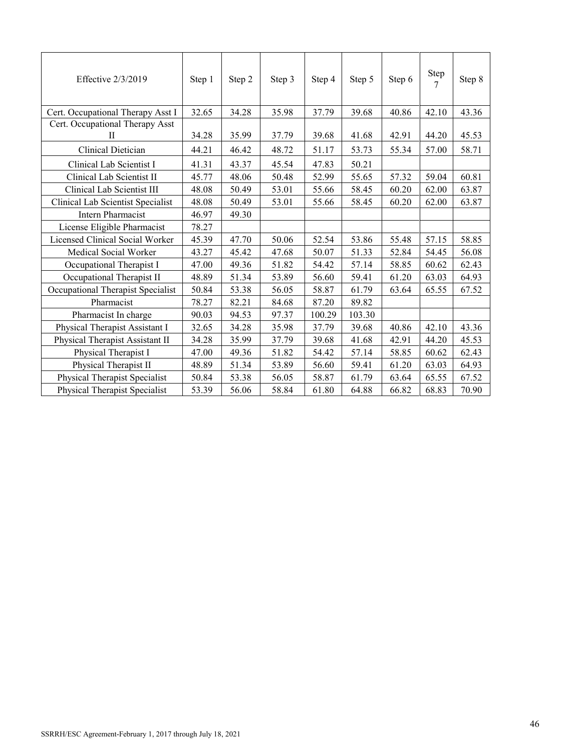| Effective 2/3/2019                   | Step 1 | Step 2 | Step 3 | Step 4 | Step 5 | Step 6 | Step<br>$\tau$ | Step 8 |
|--------------------------------------|--------|--------|--------|--------|--------|--------|----------------|--------|
| Cert. Occupational Therapy Asst I    | 32.65  | 34.28  | 35.98  | 37.79  | 39.68  | 40.86  | 42.10          | 43.36  |
| Cert. Occupational Therapy Asst<br>П | 34.28  | 35.99  | 37.79  | 39.68  | 41.68  | 42.91  | 44.20          | 45.53  |
| Clinical Dietician                   | 44.21  | 46.42  | 48.72  | 51.17  | 53.73  | 55.34  | 57.00          | 58.71  |
| Clinical Lab Scientist I             | 41.31  | 43.37  | 45.54  | 47.83  | 50.21  |        |                |        |
| Clinical Lab Scientist II            | 45.77  | 48.06  | 50.48  | 52.99  | 55.65  | 57.32  | 59.04          | 60.81  |
| Clinical Lab Scientist III           | 48.08  | 50.49  | 53.01  | 55.66  | 58.45  | 60.20  | 62.00          | 63.87  |
| Clinical Lab Scientist Specialist    | 48.08  | 50.49  | 53.01  | 55.66  | 58.45  | 60.20  | 62.00          | 63.87  |
| Intern Pharmacist                    | 46.97  | 49.30  |        |        |        |        |                |        |
| License Eligible Pharmacist          | 78.27  |        |        |        |        |        |                |        |
| Licensed Clinical Social Worker      | 45.39  | 47.70  | 50.06  | 52.54  | 53.86  | 55.48  | 57.15          | 58.85  |
| Medical Social Worker                | 43.27  | 45.42  | 47.68  | 50.07  | 51.33  | 52.84  | 54.45          | 56.08  |
| Occupational Therapist I             | 47.00  | 49.36  | 51.82  | 54.42  | 57.14  | 58.85  | 60.62          | 62.43  |
| Occupational Therapist II            | 48.89  | 51.34  | 53.89  | 56.60  | 59.41  | 61.20  | 63.03          | 64.93  |
| Occupational Therapist Specialist    | 50.84  | 53.38  | 56.05  | 58.87  | 61.79  | 63.64  | 65.55          | 67.52  |
| Pharmacist                           | 78.27  | 82.21  | 84.68  | 87.20  | 89.82  |        |                |        |
| Pharmacist In charge                 | 90.03  | 94.53  | 97.37  | 100.29 | 103.30 |        |                |        |
| Physical Therapist Assistant I       | 32.65  | 34.28  | 35.98  | 37.79  | 39.68  | 40.86  | 42.10          | 43.36  |
| Physical Therapist Assistant II      | 34.28  | 35.99  | 37.79  | 39.68  | 41.68  | 42.91  | 44.20          | 45.53  |
| Physical Therapist I                 | 47.00  | 49.36  | 51.82  | 54.42  | 57.14  | 58.85  | 60.62          | 62.43  |
| Physical Therapist II                | 48.89  | 51.34  | 53.89  | 56.60  | 59.41  | 61.20  | 63.03          | 64.93  |
| Physical Therapist Specialist        | 50.84  | 53.38  | 56.05  | 58.87  | 61.79  | 63.64  | 65.55          | 67.52  |
| <b>Physical Therapist Specialist</b> | 53.39  | 56.06  | 58.84  | 61.80  | 64.88  | 66.82  | 68.83          | 70.90  |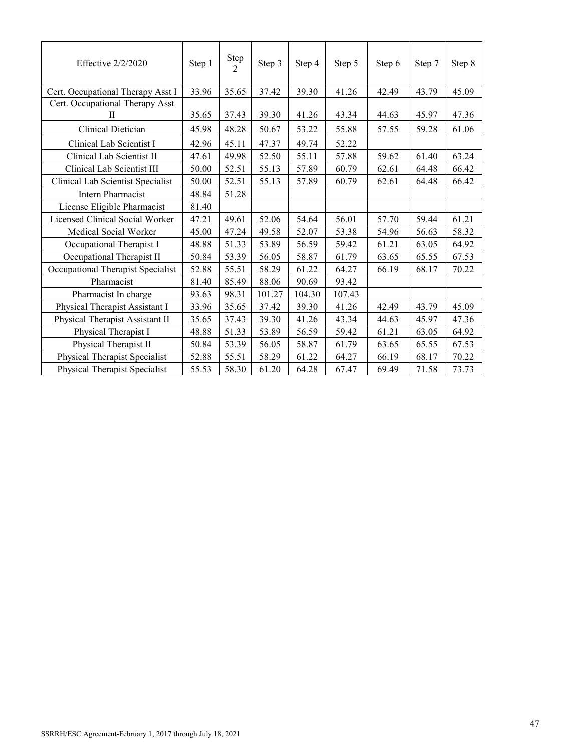| Effective $2/2/2020$                 | Step 1 | Step<br>$\overline{2}$ | Step 3 | Step 4 | Step 5 | Step 6 | Step 7 | Step 8 |
|--------------------------------------|--------|------------------------|--------|--------|--------|--------|--------|--------|
| Cert. Occupational Therapy Asst I    | 33.96  | 35.65                  | 37.42  | 39.30  | 41.26  | 42.49  | 43.79  | 45.09  |
| Cert. Occupational Therapy Asst<br>H | 35.65  | 37.43                  | 39.30  | 41.26  | 43.34  | 44.63  | 45.97  | 47.36  |
| Clinical Dietician                   | 45.98  | 48.28                  | 50.67  | 53.22  | 55.88  | 57.55  | 59.28  | 61.06  |
| Clinical Lab Scientist I             | 42.96  | 45.11                  | 47.37  | 49.74  | 52.22  |        |        |        |
| Clinical Lab Scientist II            | 47.61  | 49.98                  | 52.50  | 55.11  | 57.88  | 59.62  | 61.40  | 63.24  |
| Clinical Lab Scientist III           | 50.00  | 52.51                  | 55.13  | 57.89  | 60.79  | 62.61  | 64.48  | 66.42  |
| Clinical Lab Scientist Specialist    | 50.00  | 52.51                  | 55.13  | 57.89  | 60.79  | 62.61  | 64.48  | 66.42  |
| <b>Intern Pharmacist</b>             | 48.84  | 51.28                  |        |        |        |        |        |        |
| License Eligible Pharmacist          | 81.40  |                        |        |        |        |        |        |        |
| Licensed Clinical Social Worker      | 47.21  | 49.61                  | 52.06  | 54.64  | 56.01  | 57.70  | 59.44  | 61.21  |
| Medical Social Worker                | 45.00  | 47.24                  | 49.58  | 52.07  | 53.38  | 54.96  | 56.63  | 58.32  |
| Occupational Therapist I             | 48.88  | 51.33                  | 53.89  | 56.59  | 59.42  | 61.21  | 63.05  | 64.92  |
| Occupational Therapist II            | 50.84  | 53.39                  | 56.05  | 58.87  | 61.79  | 63.65  | 65.55  | 67.53  |
| Occupational Therapist Specialist    | 52.88  | 55.51                  | 58.29  | 61.22  | 64.27  | 66.19  | 68.17  | 70.22  |
| Pharmacist                           | 81.40  | 85.49                  | 88.06  | 90.69  | 93.42  |        |        |        |
| Pharmacist In charge                 | 93.63  | 98.31                  | 101.27 | 104.30 | 107.43 |        |        |        |
| Physical Therapist Assistant I       | 33.96  | 35.65                  | 37.42  | 39.30  | 41.26  | 42.49  | 43.79  | 45.09  |
| Physical Therapist Assistant II      | 35.65  | 37.43                  | 39.30  | 41.26  | 43.34  | 44.63  | 45.97  | 47.36  |
| Physical Therapist I                 | 48.88  | 51.33                  | 53.89  | 56.59  | 59.42  | 61.21  | 63.05  | 64.92  |
| Physical Therapist II                | 50.84  | 53.39                  | 56.05  | 58.87  | 61.79  | 63.65  | 65.55  | 67.53  |
| Physical Therapist Specialist        | 52.88  | 55.51                  | 58.29  | 61.22  | 64.27  | 66.19  | 68.17  | 70.22  |
| Physical Therapist Specialist        | 55.53  | 58.30                  | 61.20  | 64.28  | 67.47  | 69.49  | 71.58  | 73.73  |